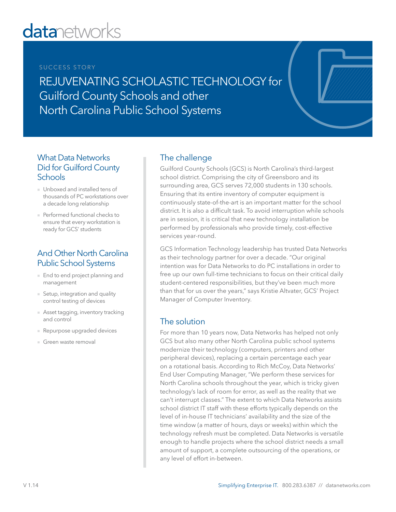# **datanetworks**

#### SUCCESS STORY

REJUVENATING SCHOLASTIC TECHNOLOGY for Guilford County Schools and other North Carolina Public School Systems

#### What Data Networks Did for Guilford County **Schools**

- Unboxed and installed tens of thousands of PC workstations over a decade long relationship
- Performed functional checks to ensure that every workstation is ready for GCS' students

## And Other North Carolina Public School Systems

- End to end project planning and management
- Setup, integration and quality control testing of devices
- Asset tagging, inventory tracking and control
- Repurpose upgraded devices
- Green waste removal

# The challenge

Guilford County Schools (GCS) is North Carolina's third-largest school district. Comprising the city of Greensboro and its surrounding area, GCS serves 72,000 students in 130 schools. Ensuring that its entire inventory of computer equipment is continuously state-of-the-art is an important matter for the school district. It is also a difficult task. To avoid interruption while schools are in session, it is critical that new technology installation be performed by professionals who provide timely, cost-effective services year-round.

GCS Information Technology leadership has trusted Data Networks as their technology partner for over a decade. "Our original intention was for Data Networks to do PC installations in order to free up our own full-time technicians to focus on their critical daily student-centered responsibilities, but they've been much more than that for us over the years," says Kristie Altvater, GCS' Project Manager of Computer Inventory.

### The solution

For more than 10 years now, Data Networks has helped not only GCS but also many other North Carolina public school systems modernize their technology (computers, printers and other peripheral devices), replacing a certain percentage each year on a rotational basis. According to Rich McCoy, Data Networks' End User Computing Manager, "We perform these services for North Carolina schools throughout the year, which is tricky given technology's lack of room for error, as well as the reality that we can't interrupt classes." The extent to which Data Networks assists school district IT staff with these efforts typically depends on the level of in-house IT technicians' availability and the size of the time window (a matter of hours, days or weeks) within which the technology refresh must be completed. Data Networks is versatile enough to handle projects where the school district needs a small amount of support, a complete outsourcing of the operations, or any level of effort in-between.